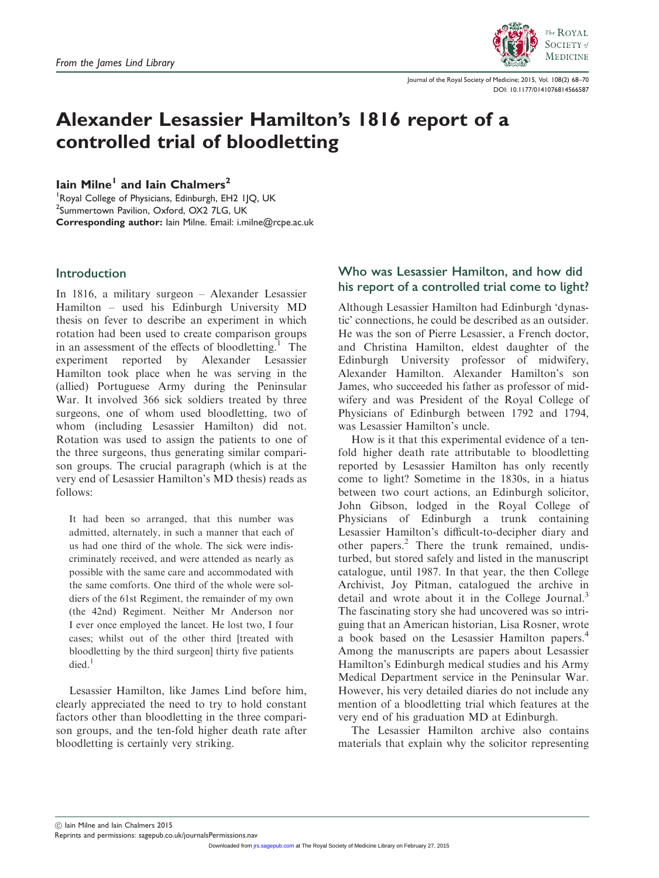

Journal of the Royal Society of Medicine; 2015, Vol. 108(2) 68–70 DOI: 10.1177/0141076814566587

# Alexander Lesassier Hamilton's 1816 report of a controlled trial of bloodletting

Iain Milne<sup>1</sup> and Iain Chalmers<sup>2</sup>

<sup>1</sup>Royal College of Physicians, Edinburgh, EH2 IJQ, UK <sup>2</sup>Summertown Pavilion, Oxford, OX2 7LG, UK Corresponding author: Iain Milne. Email: i.milne@rcpe.ac.uk

### Introduction

In 1816, a military surgeon – Alexander Lesassier Hamilton – used his Edinburgh University MD thesis on fever to describe an experiment in which rotation had been used to create comparison groups in an assessment of the effects of bloodletting.<sup>1</sup> The experiment reported by Alexander Lesassier Hamilton took place when he was serving in the (allied) Portuguese Army during the Peninsular War. It involved 366 sick soldiers treated by three surgeons, one of whom used bloodletting, two of whom (including Lesassier Hamilton) did not. Rotation was used to assign the patients to one of the three surgeons, thus generating similar comparison groups. The crucial paragraph (which is at the very end of Lesassier Hamilton's MD thesis) reads as follows:

It had been so arranged, that this number was admitted, alternately, in such a manner that each of us had one third of the whole. The sick were indiscriminately received, and were attended as nearly as possible with the same care and accommodated with the same comforts. One third of the whole were soldiers of the 61st Regiment, the remainder of my own (the 42nd) Regiment. Neither Mr Anderson nor I ever once employed the lancet. He lost two, I four cases; whilst out of the other third [treated with bloodletting by the third surgeon] thirty five patients died $^1$ 

Lesassier Hamilton, like James Lind before him, clearly appreciated the need to try to hold constant factors other than bloodletting in the three comparison groups, and the ten-fold higher death rate after bloodletting is certainly very striking.

## Who was Lesassier Hamilton, and how did his report of a controlled trial come to light?

Although Lesassier Hamilton had Edinburgh 'dynastic' connections, he could be described as an outsider. He was the son of Pierre Lesassier, a French doctor, and Christina Hamilton, eldest daughter of the Edinburgh University professor of midwifery, Alexander Hamilton. Alexander Hamilton's son James, who succeeded his father as professor of midwifery and was President of the Royal College of Physicians of Edinburgh between 1792 and 1794, was Lesassier Hamilton's uncle.

How is it that this experimental evidence of a tenfold higher death rate attributable to bloodletting reported by Lesassier Hamilton has only recently come to light? Sometime in the 1830s, in a hiatus between two court actions, an Edinburgh solicitor, John Gibson, lodged in the Royal College of Physicians of Edinburgh a trunk containing Lesassier Hamilton's difficult-to-decipher diary and other papers.<sup>2</sup> There the trunk remained, undisturbed, but stored safely and listed in the manuscript catalogue, until 1987. In that year, the then College Archivist, Joy Pitman, catalogued the archive in detail and wrote about it in the College Journal.<sup>3</sup> The fascinating story she had uncovered was so intriguing that an American historian, Lisa Rosner, wrote a book based on the Lesassier Hamilton papers.4 Among the manuscripts are papers about Lesassier Hamilton's Edinburgh medical studies and his Army Medical Department service in the Peninsular War. However, his very detailed diaries do not include any mention of a bloodletting trial which features at the very end of his graduation MD at Edinburgh.

The Lesassier Hamilton archive also contains materials that explain why the solicitor representing

! Iain Milne and Iain Chalmers 2015

Reprints and permissions: sagepub.co.uk/journalsPermissions.nav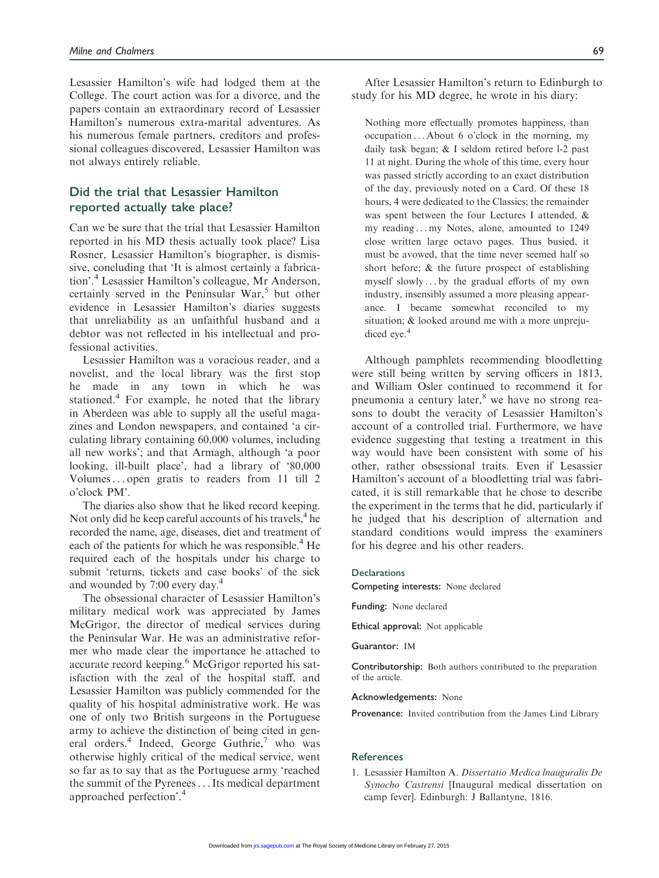Lesassier Hamilton's wife had lodged them at the College. The court action was for a divorce, and the papers contain an extraordinary record of Lesassier Hamilton's numerous extra-marital adventures. As his numerous female partners, creditors and professional colleagues discovered, Lesassier Hamilton was not always entirely reliable.

## Did the trial that Lesassier Hamilton reported actually take place?

Can we be sure that the trial that Lesassier Hamilton reported in his MD thesis actually took place? Lisa Rosner, Lesassier Hamilton's biographer, is dismissive, concluding that 'It is almost certainly a fabrication'.<sup>4</sup> Lesassier Hamilton's colleague, Mr Anderson, certainly served in the Peninsular War, $5$  but other evidence in Lesassier Hamilton's diaries suggests that unreliability as an unfaithful husband and a debtor was not reflected in his intellectual and professional activities.

Lesassier Hamilton was a voracious reader, and a novelist, and the local library was the first stop he made in any town in which he was stationed.<sup>4</sup> For example, he noted that the library in Aberdeen was able to supply all the useful magazines and London newspapers, and contained 'a circulating library containing 60,000 volumes, including all new works'; and that Armagh, although 'a poor looking, ill-built place', had a library of '80,000 Volumes... open gratis to readers from 11 till 2 o'clock PM'.

The diaries also show that he liked record keeping. Not only did he keep careful accounts of his travels,  $4$  he recorded the name, age, diseases, diet and treatment of each of the patients for which he was responsible.<sup>4</sup> He required each of the hospitals under his charge to submit 'returns, tickets and case books' of the sick and wounded by 7:00 every day.4

The obsessional character of Lesassier Hamilton's military medical work was appreciated by James McGrigor, the director of medical services during the Peninsular War. He was an administrative reformer who made clear the importance he attached to accurate record keeping.<sup>6</sup> McGrigor reported his satisfaction with the zeal of the hospital staff, and Lesassier Hamilton was publicly commended for the quality of his hospital administrative work. He was one of only two British surgeons in the Portuguese army to achieve the distinction of being cited in general orders.<sup>4</sup> Indeed, George Guthrie,<sup>7</sup> who was otherwise highly critical of the medical service, went so far as to say that as the Portuguese army 'reached the summit of the Pyrenees...Its medical department approached perfection'.<sup>4</sup>

After Lesassier Hamilton's return to Edinburgh to study for his MD degree, he wrote in his diary:

Nothing more effectually promotes happiness, than occupation ... About 6 o'clock in the morning, my daily task began; & I seldom retired before l-2 past 11 at night. During the whole of this time, every hour was passed strictly according to an exact distribution of the day, previously noted on a Card. Of these 18 hours, 4 were dedicated to the Classics; the remainder was spent between the four Lectures I attended, & my reading ... my Notes, alone, amounted to 1249 close written large octavo pages. Thus busied, it must be avowed, that the time never seemed half so short before; & the future prospect of establishing myself slowly ... by the gradual efforts of my own industry, insensibly assumed a more pleasing appearance. I became somewhat reconciled to my situation; & looked around me with a more unprejudiced eye.<sup>4</sup>

Although pamphlets recommending bloodletting were still being written by serving officers in 1813, and William Osler continued to recommend it for pneumonia a century later,<sup>8</sup> we have no strong reasons to doubt the veracity of Lesassier Hamilton's account of a controlled trial. Furthermore, we have evidence suggesting that testing a treatment in this way would have been consistent with some of his other, rather obsessional traits. Even if Lesassier Hamilton's account of a bloodletting trial was fabricated, it is still remarkable that he chose to describe the experiment in the terms that he did, particularly if he judged that his description of alternation and standard conditions would impress the examiners for his degree and his other readers.

#### **Declarations**

Competing interests: None declared

Funding: None declared

Ethical approval: Not applicable

Guarantor: IM

Contributorship: Both authors contributed to the preparation of the article.

Acknowledgements: None

Provenance: Invited contribution from the James Lind Library

#### References

1. Lesassier Hamilton A. Dissertatio Medica lnauguralis De Synocho Castrensi [Inaugural medical dissertation on camp fever]. Edinburgh: J Ballantyne, 1816.